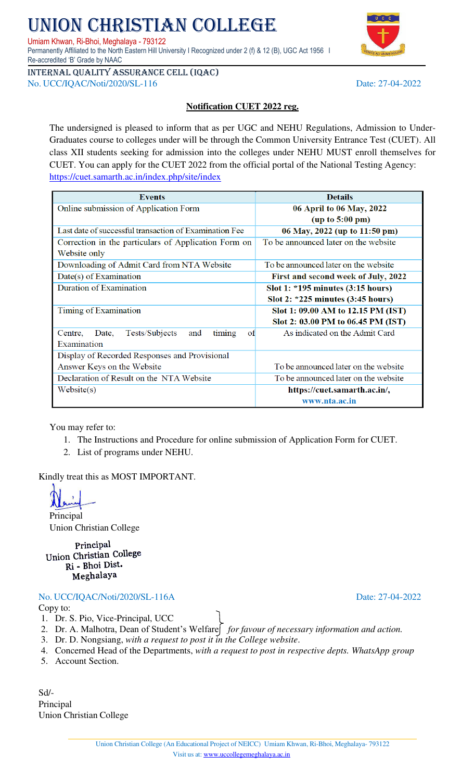### Union Christian College (An Educational Project of NEICC) Umiam Khwan, Ri-Bhoi, Meghalaya- 793122 Visit us at: [www.uccollegemeghalaya.ac.in](http://www.uccollegemeghalaya.ac.in/)

Umiam Khwan, Ri-Bhoi, Meghalaya - 793122 Permanently Affiliated to the North Eastern Hill University I Recognized under 2 (f) & 12 (B), UGC Act 1956 I Re-accredited 'B' Grade by NAAC

Internal quality assurance cell (IQAC) No. UCC/IQAC/Noti/2020/SL-116 Date: 27-04-2022

## **Notification CUET 2022 reg.**

The undersigned is pleased to inform that as per UGC and NEHU Regulations, Admission to Under-Graduates course to colleges under will be through the Common University Entrance Test (CUET). All class XII students seeking for admission into the colleges under NEHU MUST enroll themselves for CUET. You can apply for the CUET 2022 from the official portal of the National Testing Agency: <https://cuet.samarth.ac.in/index.php/site/index>

| <b>Events</b>                                             | <b>Details</b>                        |  |
|-----------------------------------------------------------|---------------------------------------|--|
| Online submission of Application Form                     | 06 April to 06 May, 2022              |  |
|                                                           | (up to 5:00 pm)                       |  |
| Last date of successful transaction of Examination Fee    | 06 May, 2022 (up to 11:50 pm)         |  |
| Correction in the particulars of Application Form on      | To be announced later on the website  |  |
| Website only                                              |                                       |  |
| Downloading of Admit Card from NTA Website                | To be announced later on the website  |  |
| Date(s) of Examination                                    | First and second week of July, 2022   |  |
| Duration of Examination                                   | Slot 1: $*195$ minutes $(3:15$ hours) |  |
|                                                           | Slot 2: $*225$ minutes $(3:45$ hours) |  |
| Timing of Examination                                     | Slot 1: 09.00 AM to 12.15 PM (IST)    |  |
|                                                           | Slot 2: 03.00 PM to 06.45 PM (IST)    |  |
| Tests/Subjects<br>timing<br>of<br>Date,<br>Centre,<br>and | As indicated on the Admit Card        |  |
| Examination                                               |                                       |  |
| Display of Recorded Responses and Provisional             |                                       |  |
| Answer Keys on the Website                                | To be announced later on the website  |  |
| Declaration of Result on the NTA Website                  | To be announced later on the website  |  |
| Website(s)                                                | https://cuet.samarth.ac.in/,          |  |
|                                                           | www.nta.ac.in                         |  |

You may refer to:

- 1. The Instructions and Procedure for online submission of Application Form for CUET.
- 2. List of programs under NEHU.

Kindly treat this as MOST IMPORTANT.

Principal Union Christian College

Principal Union Christian College Ri - Bhoi Dist. Meghalaya

## No. UCC/IQAC/Noti/2020/SL-116A Date: 27-04-2022

Copy to:

- 1. Dr. S. Pio, Vice-Principal, UCC
- 2. Dr. A. Malhotra, Dean of Student's Welfare *for favour of necessary information and action*.
- 3. Dr. D. Nongsiang, *with a request to post it in the College website*.
- 4. Concerned Head of the Departments, *with a request to post in respective depts. WhatsApp group*
- 5. Account Section.

Sd/- Principal Union Christian College

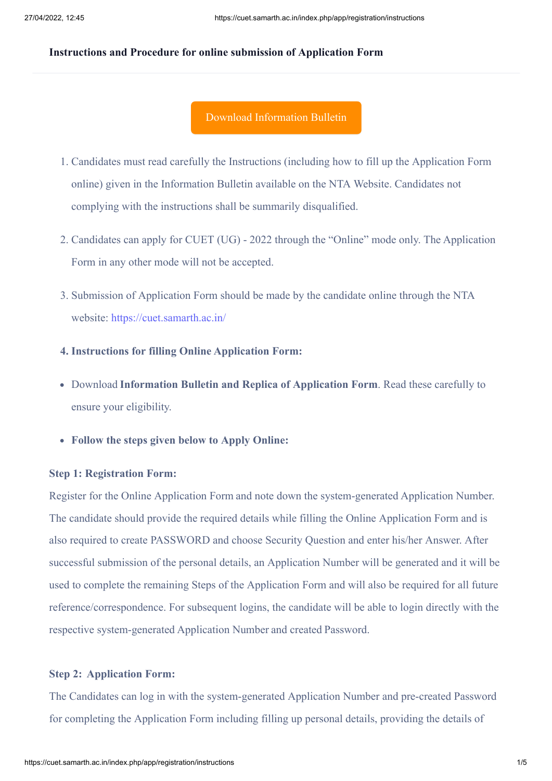#### **Instructions and Procedure for online submission of Application Form**

### [Download Information Bulletin](https://cdnasb.samarth.ac.in/site/CUETUG2022IB.pdf)

- 1. Candidates must read carefully the Instructions (including how to fill up the Application Form online) given in the Information Bulletin available on the NTA Website. Candidates not complying with the instructions shall be summarily disqualified.
- 2. Candidates can apply for CUET (UG) 2022 through the "Online" mode only. The Application Form in any other mode will not be accepted.
- 3. Submission of Application Form should be made by the candidate online through the NTA website:<https://cuet.samarth.ac.in/>

#### **4. Instructions for filling Online Application Form:**

- Download **Information Bulletin and Replica of Application Form**. Read these carefully to ensure your eligibility.
- **Follow the steps given below to Apply Online:**

#### **Step 1: Registration Form:**

Register for the Online Application Form and note down the system-generated Application Number. The candidate should provide the required details while filling the Online Application Form and is also required to create PASSWORD and choose Security Question and enter his/her Answer. After successful submission of the personal details, an Application Number will be generated and it will be used to complete the remaining Steps of the Application Form and will also be required for all future reference/correspondence. For subsequent logins, the candidate will be able to login directly with the respective system-generated Application Number and created Password.

#### **Step 2:  Application Form:**

The Candidates can log in with the system-generated Application Number and pre-created Password for completing the Application Form including filling up personal details, providing the details of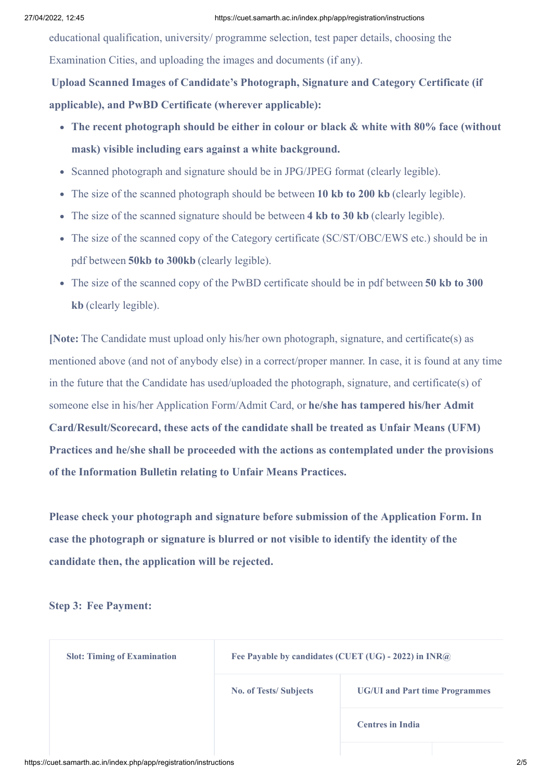educational qualification, university/ programme selection, test paper details, choosing the Examination Cities, and uploading the images and documents (if any).

**Upload Scanned Images of Candidate's Photograph, Signature and Category Certificate (if applicable), and PwBD Certificate (wherever applicable):**

- **The recent photograph should be either in colour or black & white with 80% face (without mask) visible including ears against a white background.**
- Scanned photograph and signature should be in JPG/JPEG format (clearly legible).
- The size of the scanned photograph should be between **10 kb to 200 kb** (clearly legible).
- The size of the scanned signature should be between 4 kb to 30 kb (clearly legible).
- The size of the scanned copy of the Category certificate (SC/ST/OBC/EWS etc.) should be in pdf between **50kb to 300kb** (clearly legible).
- The size of the scanned copy of the PwBD certificate should be in pdf between **50 kb to 300 kb** (clearly legible).

**[Note:** The Candidate must upload only his/her own photograph, signature, and certificate(s) as mentioned above (and not of anybody else) in a correct/proper manner. In case, it is found at any time in the future that the Candidate has used/uploaded the photograph, signature, and certificate(s) of someone else in his/her Application Form/Admit Card, or **he/she has tampered his/her Admit Card/Result/Scorecard, these acts of the candidate shall be treated as Unfair Means (UFM) Practices and he/she shall be proceeded with the actions as contemplated under the provisions of the Information Bulletin relating to Unfair Means Practices.**

**Please check your photograph and signature before submission of the Application Form. In case the photograph or signature is blurred or not visible to identify the identity of the candidate then, the application will be rejected.**

**Step 3:  Fee Payment:**

| <b>Slot: Timing of Examination</b> | Fee Payable by candidates (CUET (UG) - 2022) in INR@ |                                       |  |
|------------------------------------|------------------------------------------------------|---------------------------------------|--|
|                                    | <b>No. of Tests/Subjects</b>                         | <b>UG/UI and Part time Programmes</b> |  |
|                                    |                                                      | <b>Centres in India</b>               |  |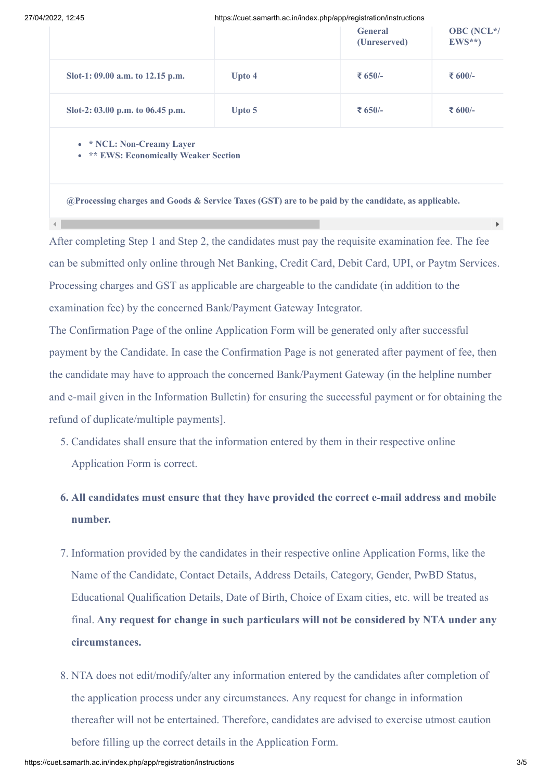$\left| \cdot \right|$ 

27/04/2022, 12:45 https://cuet.samarth.ac.in/index.php/app/registration/instructions

| - 044, 14. TV                    | 1.000.11000.0011101.01.00.11111100x.prip/app/rogionation/informotion- |                                |                              |  |
|----------------------------------|-----------------------------------------------------------------------|--------------------------------|------------------------------|--|
|                                  |                                                                       | <b>General</b><br>(Unreserved) | <b>OBC</b> (NCL*/<br>$EWS**$ |  |
| Slot-1: 09.00 a.m. to 12.15 p.m. | Upto 4                                                                | ₹ 650/-                        | ₹ 600/-                      |  |
| Slot-2: 03.00 p.m. to 06.45 p.m. | Upto 5                                                                | ₹ 650/-                        | ₹ 600/-                      |  |
|                                  |                                                                       |                                |                              |  |

**\* NCL: Non-Creamy Layer** 

**EWS: Economically Weaker Section** 

**@Processing charges and Goods & Service Taxes (GST) are to be paid by the candidate, as applicable.**

After completing Step 1 and Step 2, the candidates must pay the requisite examination fee. The fee can be submitted only online through Net Banking, Credit Card, Debit Card, UPI, or Paytm Services. Processing charges and GST as applicable are chargeable to the candidate (in addition to the examination fee) by the concerned Bank/Payment Gateway Integrator.

The Confirmation Page of the online Application Form will be generated only after successful payment by the Candidate. In case the Confirmation Page is not generated after payment of fee, then the candidate may have to approach the concerned Bank/Payment Gateway (in the helpline number and e-mail given in the Information Bulletin) for ensuring the successful payment or for obtaining the refund of duplicate/multiple payments].

- 5. Candidates shall ensure that the information entered by them in their respective online Application Form is correct.
- **6. All candidates must ensure that they have provided the correct e-mail address and mobile number.**
- 7. Information provided by the candidates in their respective online Application Forms, like the Name of the Candidate, Contact Details, Address Details, Category, Gender, PwBD Status, Educational Qualification Details, Date of Birth, Choice of Exam cities, etc. will be treated as final. **Any request for change in such particulars will not be considered by NTA under any circumstances.**
- 8. NTA does not edit/modify/alter any information entered by the candidates after completion of the application process under any circumstances. Any request for change in information thereafter will not be entertained. Therefore, candidates are advised to exercise utmost caution before filling up the correct details in the Application Form.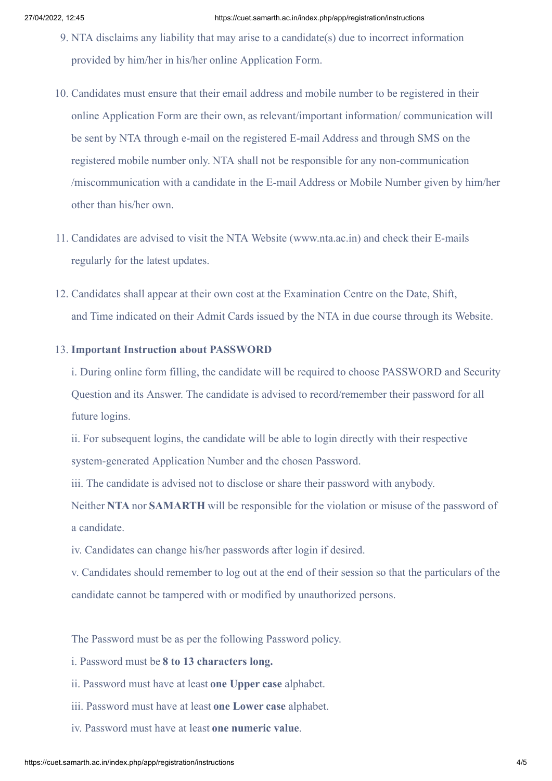- 9. NTA disclaims any liability that may arise to a candidate(s) due to incorrect information provided by him/her in his/her online Application Form.
- 10. Candidates must ensure that their email address and mobile number to be registered in their online Application Form are their own, as relevant/important information/ communication will be sent by NTA through e-mail on the registered E-mail Address and through SMS on the registered mobile number only. NTA shall not be responsible for any non-communication /miscommunication with a candidate in the E-mail Address or Mobile Number given by him/her other than his/her own.
- 11. Candidates are advised to visit the NTA Website (www.nta.ac.in) and check their E-mails regularly for the latest updates.
- 12. Candidates shall appear at their own cost at the Examination Centre on the Date, Shift, and Time indicated on their Admit Cards issued by the NTA in due course through its Website.

#### 13. **Important Instruction about PASSWORD**

i. During online form filling, the candidate will be required to choose PASSWORD and Security Question and its Answer. The candidate is advised to record/remember their password for all future logins.

ii. For subsequent logins, the candidate will be able to login directly with their respective system-generated Application Number and the chosen Password.

iii. The candidate is advised not to disclose or share their password with anybody.

Neither **NTA** nor **SAMARTH** will be responsible for the violation or misuse of the password of a candidate.

iv. Candidates can change his/her passwords after login if desired.

v. Candidates should remember to log out at the end of their session so that the particulars of the candidate cannot be tampered with or modified by unauthorized persons.

The Password must be as per the following Password policy.

i. Password must be **8 to 13 characters long.**

- ii. Password must have at least **one Upper case** alphabet.
- iii. Password must have at least **one Lower case** alphabet.
- iv. Password must have at least **one numeric value**.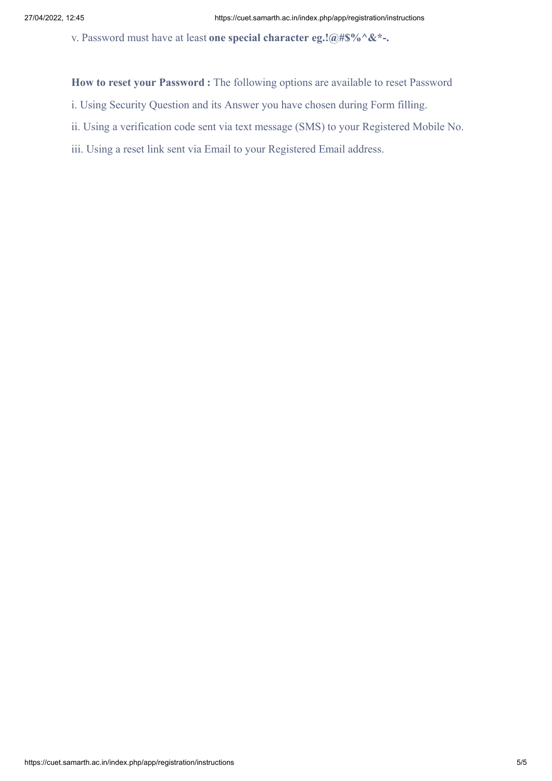v. Password must have at least **one special character eg.!@#\$%^&\*-.**

**How to reset your Password :** The following options are available to reset Password

- i. Using Security Question and its Answer you have chosen during Form filling.
- ii. Using a verification code sent via text message (SMS) to your Registered Mobile No.
- iii. Using a reset link sent via Email to your Registered Email address.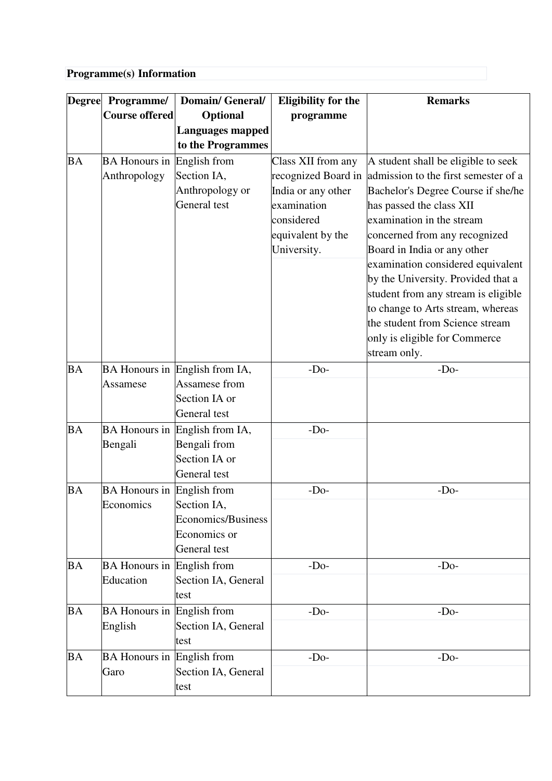# **Programme(s) Information**

| <b>Degree</b> | Programme/                        | <b>Domain/General/</b>                          | <b>Eligibility for the</b> | <b>Remarks</b>                       |
|---------------|-----------------------------------|-------------------------------------------------|----------------------------|--------------------------------------|
|               | <b>Course offered</b>             | <b>Optional</b>                                 | programme                  |                                      |
|               |                                   | <b>Languages mapped</b><br>to the Programmes    |                            |                                      |
| <b>BA</b>     | <b>BA Honours in</b>              | English from                                    | Class XII from any         | A student shall be eligible to seek  |
|               | Anthropology                      | Section IA,                                     | recognized Board in        | admission to the first semester of a |
|               |                                   | Anthropology or                                 | India or any other         | Bachelor's Degree Course if she/he   |
|               |                                   | General test                                    | examination                | has passed the class XII             |
|               |                                   |                                                 | considered                 | examination in the stream            |
|               |                                   |                                                 | equivalent by the          | concerned from any recognized        |
|               |                                   |                                                 | University.                | Board in India or any other          |
|               |                                   |                                                 |                            | examination considered equivalent    |
|               |                                   |                                                 |                            | by the University. Provided that a   |
|               |                                   |                                                 |                            | student from any stream is eligible  |
|               |                                   |                                                 |                            | to change to Arts stream, whereas    |
|               |                                   |                                                 |                            | the student from Science stream      |
|               |                                   |                                                 |                            | only is eligible for Commerce        |
|               |                                   |                                                 |                            | stream only.                         |
| <b>BA</b>     |                                   | BA Honours in English from IA,<br>Assamese from | $-Do-$                     | $-Do-$                               |
|               | Assamese                          | Section IA or                                   |                            |                                      |
|               |                                   | General test                                    |                            |                                      |
| <b>BA</b>     | <b>BA</b> Honours in              | English from IA,                                | $-Do-$                     |                                      |
|               | Bengali                           | Bengali from                                    |                            |                                      |
|               |                                   | Section IA or                                   |                            |                                      |
|               |                                   | General test                                    |                            |                                      |
| <b>BA</b>     | <b>BA Honours in</b>              | English from                                    | $-Do-$                     | $-Do-$                               |
|               | Economics                         | Section IA,                                     |                            |                                      |
|               |                                   | Economics/Business                              |                            |                                      |
|               |                                   | Economics or                                    |                            |                                      |
|               |                                   | General test                                    |                            |                                      |
| <b>BA</b>     | BA Honours in English from        |                                                 | $-Do-$                     | $-Do-$                               |
|               | Education                         | Section IA, General                             |                            |                                      |
|               |                                   | test                                            |                            |                                      |
| BA            | <b>BA Honours in English from</b> |                                                 | $-Do-$                     | $-Do-$                               |
|               | English                           | Section IA, General                             |                            |                                      |
|               |                                   | test                                            |                            |                                      |
| BA            | <b>BA</b> Honours in              | English from                                    | $-Do-$                     | $-Do-$                               |
|               | Garo                              | Section IA, General                             |                            |                                      |
|               |                                   | test                                            |                            |                                      |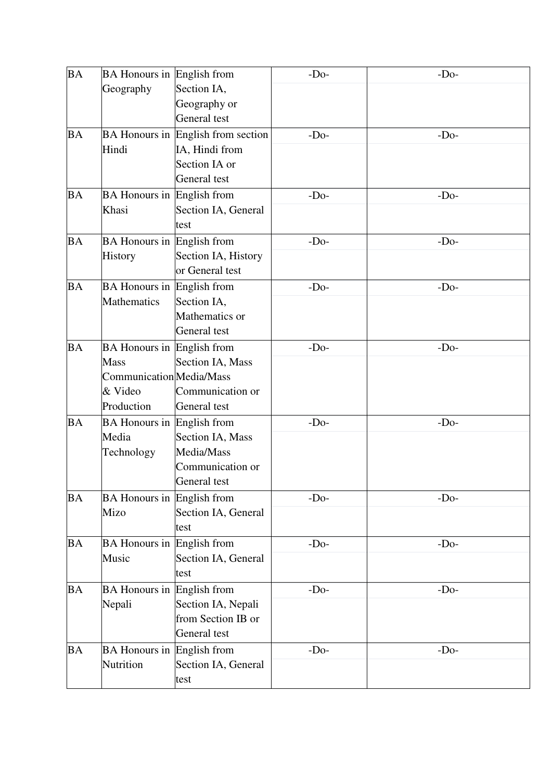| <b>BA</b> | <b>BA Honours in English from</b><br>Geography                                                        | Section IA,<br>Geography or<br>General test                                           | $-Do-$ | $-Do-$ |
|-----------|-------------------------------------------------------------------------------------------------------|---------------------------------------------------------------------------------------|--------|--------|
| <b>BA</b> | Hindi                                                                                                 | BA Honours in English from section<br>IA, Hindi from<br>Section IA or<br>General test | $-Do-$ | $-Do-$ |
| <b>BA</b> | <b>BA Honours in English from</b><br>Khasi                                                            | Section IA, General<br>test                                                           | $-Do-$ | $-Do-$ |
| <b>BA</b> | <b>BA Honours in English from</b><br>History                                                          | Section IA, History<br>or General test                                                | $-Do-$ | $-Do-$ |
| <b>BA</b> | <b>BA Honours in English from</b><br><b>Mathematics</b>                                               | Section IA,<br>Mathematics or<br>General test                                         | $-Do-$ | $-Do-$ |
| <b>BA</b> | <b>BA Honours in English from</b><br><b>Mass</b><br>Communication Media/Mass<br>& Video<br>Production | Section IA, Mass<br>Communication or<br>General test                                  | $-Do-$ | $-Do-$ |
| <b>BA</b> | <b>BA Honours in</b><br>Media<br>Technology                                                           | English from<br>Section IA, Mass<br>Media/Mass<br>Communication or<br>General test    | $-Do-$ | $-Do-$ |
| <b>BA</b> | <b>BA Honours in English from</b><br>Mizo                                                             | Section IA, General<br>test                                                           | $-Do-$ | $-Do-$ |
| <b>BA</b> | <b>BA</b> Honours in<br>Music                                                                         | English from<br>Section IA, General<br>test                                           | $-Do-$ | $-Do-$ |
| <b>BA</b> | <b>BA</b> Honours in<br>Nepali                                                                        | English from<br>Section IA, Nepali<br>from Section IB or<br>General test              | $-Do-$ | $-Do-$ |
| <b>BA</b> | <b>BA</b> Honours in<br>Nutrition                                                                     | English from<br>Section IA, General<br>test                                           | $-Do-$ | $-Do-$ |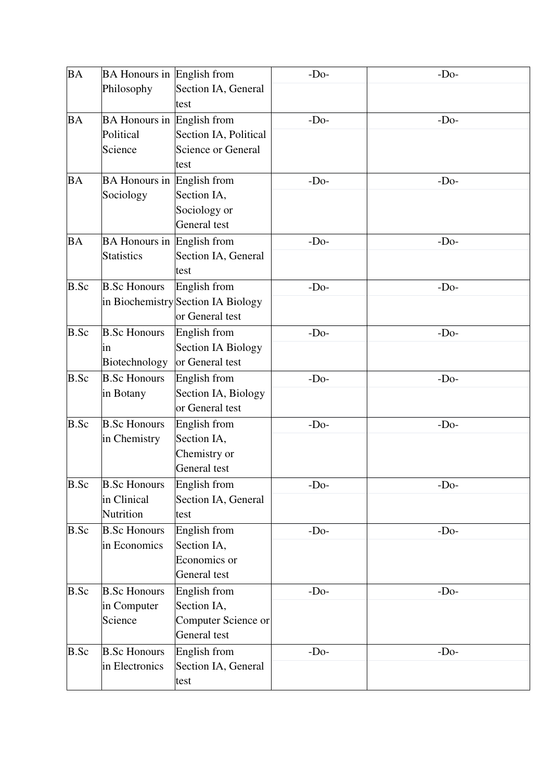| <b>BA</b>   | <b>BA Honours in English from</b>                         |                                                                       | $-Do-$ | $-Do-$ |
|-------------|-----------------------------------------------------------|-----------------------------------------------------------------------|--------|--------|
|             | Philosophy                                                | Section IA, General<br>test                                           |        |        |
| <b>BA</b>   | <b>BA Honours in English from</b><br>Political<br>Science | Section IA, Political<br><b>Science or General</b><br>test            | $-Do-$ | $-Do-$ |
| <b>BA</b>   | <b>BA Honours in English from</b><br>Sociology            | Section IA,<br>Sociology or<br>General test                           | $-Do-$ | $-Do-$ |
| <b>BA</b>   | <b>BA Honours in English from</b><br><b>Statistics</b>    | Section IA, General<br>test                                           | $-Do-$ | $-Do-$ |
| <b>B.Sc</b> | <b>B.Sc Honours</b>                                       | English from<br>in Biochemistry Section IA Biology<br>or General test | $-Do-$ | $-Do-$ |
| <b>B.Sc</b> | <b>B.Sc Honours</b><br>1n<br>Biotechnology                | English from<br><b>Section IA Biology</b><br>or General test          | $-Do-$ | $-Do-$ |
| B.Sc        | <b>B.Sc Honours</b><br>in Botany                          | English from<br>Section IA, Biology<br>or General test                | $-Do-$ | $-Do-$ |
| B.Sc        | <b>B.Sc Honours</b><br>in Chemistry                       | English from<br>Section IA,<br>Chemistry or<br>General test           | $-Do-$ | $-Do-$ |
| B.Sc        | <b>B.Sc Honours</b><br>in Clinical<br>Nutrition           | English from<br>Section IA, General<br>test                           | $-Do-$ | $-Do-$ |
| B.Sc        | <b>B.Sc Honours</b><br>in Economics                       | English from<br>Section IA,<br>Economics or<br>General test           | $-Do-$ | $-Do-$ |
| B.Sc        | <b>B.Sc Honours</b><br>in Computer<br>Science             | English from<br>Section IA,<br>Computer Science or<br>General test    | $-Do-$ | $-Do-$ |
| B.Sc        | <b>B.Sc Honours</b><br>in Electronics                     | English from<br>Section IA, General<br>test                           | $-Do-$ | $-Do-$ |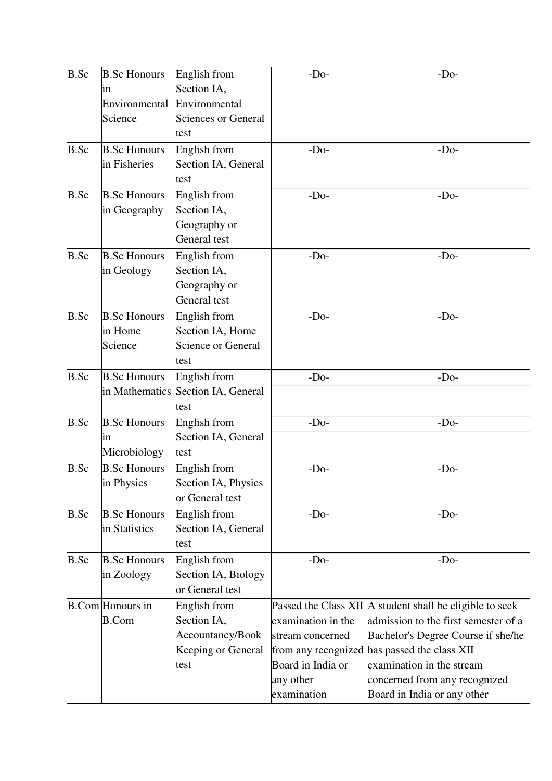| <b>B.Sc</b> | <b>B.Sc Honours</b>     | English from                       | $-Do-$             | $-Do-$                                                   |
|-------------|-------------------------|------------------------------------|--------------------|----------------------------------------------------------|
|             | in                      | Section IA,                        |                    |                                                          |
|             | Environmental           | Environmental                      |                    |                                                          |
|             | Science                 | <b>Sciences or General</b>         |                    |                                                          |
|             |                         | test                               |                    |                                                          |
| B.Sc        | <b>B.Sc Honours</b>     | English from                       | $-Do-$             | $-Do-$                                                   |
|             | in Fisheries            | Section IA, General                |                    |                                                          |
|             |                         | test                               |                    |                                                          |
| B.Sc        | <b>B.Sc Honours</b>     | English from                       | $-Do-$             | $-Do-$                                                   |
|             | in Geography            | Section IA,                        |                    |                                                          |
|             |                         | Geography or                       |                    |                                                          |
|             |                         | General test                       |                    |                                                          |
| <b>B.Sc</b> | <b>B.Sc Honours</b>     | English from                       | $-Do-$             | $-Do-$                                                   |
|             | in Geology              | Section IA,                        |                    |                                                          |
|             |                         | Geography or                       |                    |                                                          |
|             |                         | General test                       |                    |                                                          |
| B.Sc        | <b>B.Sc Honours</b>     | English from                       | $-Do-$             | $-Do-$                                                   |
|             | in Home                 | Section IA, Home                   |                    |                                                          |
|             | Science                 | <b>Science or General</b>          |                    |                                                          |
|             |                         | test                               |                    |                                                          |
| <b>B.Sc</b> | <b>B.Sc Honours</b>     | English from                       | $-Do-$             | $-Do-$                                                   |
|             |                         | in Mathematics Section IA, General |                    |                                                          |
|             |                         | test                               |                    |                                                          |
| B.Sc        | <b>B.Sc Honours</b>     | English from                       | $-Do-$             | $-Do-$                                                   |
|             | in                      | Section IA, General                |                    |                                                          |
|             | Microbiology            | test                               |                    |                                                          |
| B.Sc        | <b>B.Sc Honours</b>     | English from                       | $-Do-$             | $-Do-$                                                   |
|             | in Physics              | Section IA, Physics                |                    |                                                          |
|             |                         | or General test                    |                    |                                                          |
| B.Sc        | <b>B.Sc Honours</b>     | English from                       | $-Do-$             | $-Do-$                                                   |
|             | in Statistics           | Section IA, General                |                    |                                                          |
|             |                         | test                               |                    |                                                          |
| B.Sc        | <b>B.Sc Honours</b>     | English from                       | $-Do-$             | $-Do-$                                                   |
|             | in Zoology              | Section IA, Biology                |                    |                                                          |
|             |                         | or General test                    |                    |                                                          |
|             | <b>B.Com</b> Honours in | English from                       |                    | Passed the Class XII A student shall be eligible to seek |
|             | <b>B.Com</b>            | Section IA,                        | examination in the | admission to the first semester of a                     |
|             |                         | Accountancy/Book                   | stream concerned   | Bachelor's Degree Course if she/he                       |
|             |                         | Keeping or General                 |                    | from any recognized has passed the class XII             |
|             |                         | test                               | Board in India or  | examination in the stream                                |
|             |                         |                                    | any other          | concerned from any recognized                            |
|             |                         |                                    | examination        | Board in India or any other                              |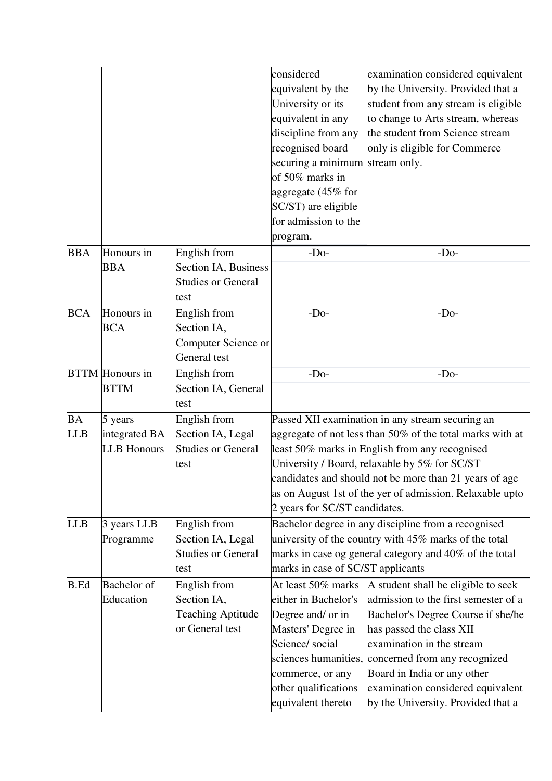|             |                        |                           | considered                                       | examination considered equivalent                         |
|-------------|------------------------|---------------------------|--------------------------------------------------|-----------------------------------------------------------|
|             |                        |                           | equivalent by the                                | by the University. Provided that a                        |
|             |                        |                           | University or its                                | student from any stream is eligible                       |
|             |                        |                           | equivalent in any                                | to change to Arts stream, whereas                         |
|             |                        |                           | discipline from any                              | the student from Science stream                           |
|             |                        |                           | recognised board                                 | only is eligible for Commerce                             |
|             |                        |                           | securing a minimum                               | stream only.                                              |
|             |                        |                           | of 50% marks in                                  |                                                           |
|             |                        |                           | aggregate (45% for                               |                                                           |
|             |                        |                           | SC/ST) are eligible                              |                                                           |
|             |                        |                           | for admission to the                             |                                                           |
|             |                        |                           | program.                                         |                                                           |
| <b>BBA</b>  | Honours in             | English from              | $-Do-$                                           | $-Do-$                                                    |
|             | <b>BBA</b>             | Section IA, Business      |                                                  |                                                           |
|             |                        | <b>Studies or General</b> |                                                  |                                                           |
|             |                        | test                      |                                                  |                                                           |
| <b>BCA</b>  | Honours in             | English from              | $-Do-$                                           | $-Do-$                                                    |
|             | <b>BCA</b>             | Section IA,               |                                                  |                                                           |
|             |                        | Computer Science or       |                                                  |                                                           |
|             |                        | General test              |                                                  |                                                           |
|             | <b>BTTM</b> Honours in | English from              | $-Do-$                                           | $-Do-$                                                    |
|             | <b>BTTM</b>            | Section IA, General       |                                                  |                                                           |
|             |                        | test                      |                                                  |                                                           |
| <b>BA</b>   | 5 years                | English from              | Passed XII examination in any stream securing an |                                                           |
| <b>LLB</b>  | integrated BA          | Section IA, Legal         |                                                  | aggregate of not less than 50% of the total marks with at |
|             | <b>LLB</b> Honours     | <b>Studies or General</b> |                                                  | least 50% marks in English from any recognised            |
|             |                        | test                      |                                                  | University / Board, relaxable by 5% for SC/ST             |
|             |                        |                           |                                                  | candidates and should not be more than 21 years of age    |
|             |                        |                           |                                                  | as on August 1st of the yer of admission. Relaxable upto  |
|             |                        |                           | 2 years for SC/ST candidates.                    |                                                           |
| <b>LLB</b>  | 3 years LLB            | English from              |                                                  | Bachelor degree in any discipline from a recognised       |
|             | Programme              | Section IA, Legal         |                                                  | university of the country with 45% marks of the total     |
|             |                        | <b>Studies or General</b> |                                                  | marks in case og general category and 40% of the total    |
|             |                        | test                      | marks in case of SC/ST applicants                |                                                           |
| <b>B.Ed</b> | <b>Bachelor</b> of     | English from              | At least 50% marks                               | A student shall be eligible to seek                       |
|             | Education              | Section IA,               | either in Bachelor's                             | admission to the first semester of a                      |
|             |                        | <b>Teaching Aptitude</b>  | Degree and/ or in                                | Bachelor's Degree Course if she/he                        |
|             |                        | or General test           | Masters' Degree in                               | has passed the class XII                                  |
|             |                        |                           | Science/ social                                  | examination in the stream                                 |
|             |                        |                           | sciences humanities,                             | concerned from any recognized                             |
|             |                        |                           | commerce, or any                                 | Board in India or any other                               |
|             |                        |                           | other qualifications                             | examination considered equivalent                         |
|             |                        |                           | equivalent thereto                               | by the University. Provided that a                        |